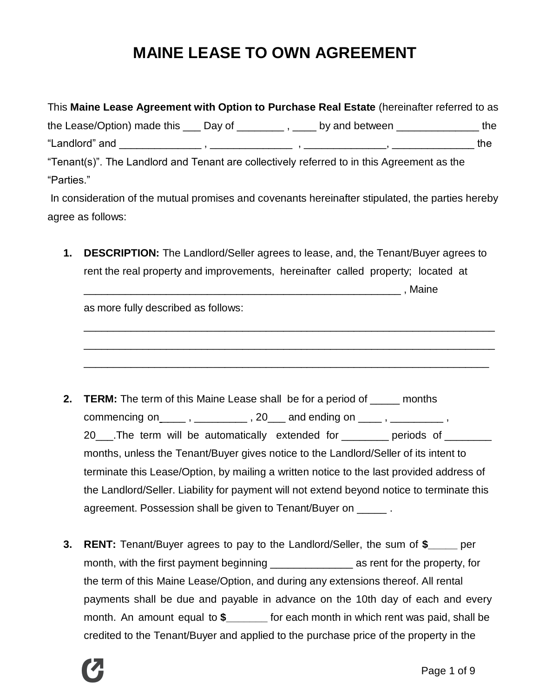# **MAINE LEASE TO OWN AGREEMENT**

| This Maine Lease Agreement with Option to Purchase Real Estate (hereinafter referred to as          |  |  |  |     |
|-----------------------------------------------------------------------------------------------------|--|--|--|-----|
| the Lease/Option) made this $\_\_\_$ Day of $\_\_\_\_$ , $\_\_\_$ by and between $\_\_\_\_\_\_$ the |  |  |  |     |
|                                                                                                     |  |  |  | the |
| "Tenant(s)". The Landlord and Tenant are collectively referred to in this Agreement as the          |  |  |  |     |
| "Parties."                                                                                          |  |  |  |     |
| In consideration of the mutual promises and covenants hereinafter stipulated, the parties hereby    |  |  |  |     |
| agree as follows:                                                                                   |  |  |  |     |

**1. DESCRIPTION:** The Landlord/Seller agrees to lease, and, the Tenant/Buyer agrees to rent the real property and improvements, hereinafter called property; located at  $\blacksquare$  , Maine

\_\_\_\_\_\_\_\_\_\_\_\_\_\_\_\_\_\_\_\_\_\_\_\_\_\_\_\_\_\_\_\_\_\_\_\_\_\_\_\_\_\_\_\_\_\_\_\_\_\_\_\_\_\_\_\_\_\_\_\_\_\_\_\_\_\_\_\_\_\_

\_\_\_\_\_\_\_\_\_\_\_\_\_\_\_\_\_\_\_\_\_\_\_\_\_\_\_\_\_\_\_\_\_\_\_\_\_\_\_\_\_\_\_\_\_\_\_\_\_\_\_\_\_\_\_\_\_\_\_\_\_\_\_\_\_\_\_\_\_\_

\_\_\_\_\_\_\_\_\_\_\_\_\_\_\_\_\_\_\_\_\_\_\_\_\_\_\_\_\_\_\_\_\_\_\_\_\_\_\_\_\_\_\_\_\_\_\_\_\_\_\_\_\_\_\_\_\_\_\_\_\_\_\_\_\_\_\_\_\_

as more fully described as follows:

- **2. TERM:** The term of this Maine Lease shall be for a period of \_\_\_\_\_ months commencing on \_\_\_\_\_\_ , \_\_\_\_\_\_\_\_\_\_\_\_ , 20 \_\_\_ and ending on \_\_\_\_\_ , \_\_\_\_\_\_\_\_\_\_\_ , 20\_\_\_\_.The term will be automatically extended for \_\_\_\_\_\_\_\_ periods of \_\_\_\_\_\_\_\_ months, unless the Tenant/Buyer gives notice to the Landlord/Seller of its intent to terminate this Lease/Option, by mailing a written notice to the last provided address of the Landlord/Seller. Liability for payment will not extend beyond notice to terminate this agreement. Possession shall be given to Tenant/Buyer on \_\_\_\_\_ .
- **3. RENT:** Tenant/Buyer agrees to pay to the Landlord/Seller, the sum of **\$\_\_\_\_\_** per month, with the first payment beginning \_\_\_\_\_\_\_\_\_\_\_\_\_\_ as rent for the property, for the term of this Maine Lease/Option, and during any extensions thereof. All rental payments shall be due and payable in advance on the 10th day of each and every month. An amount equal to **\$\_\_\_\_\_\_\_** for each month in which rent was paid, shall be credited to the Tenant/Buyer and applied to the purchase price of the property in the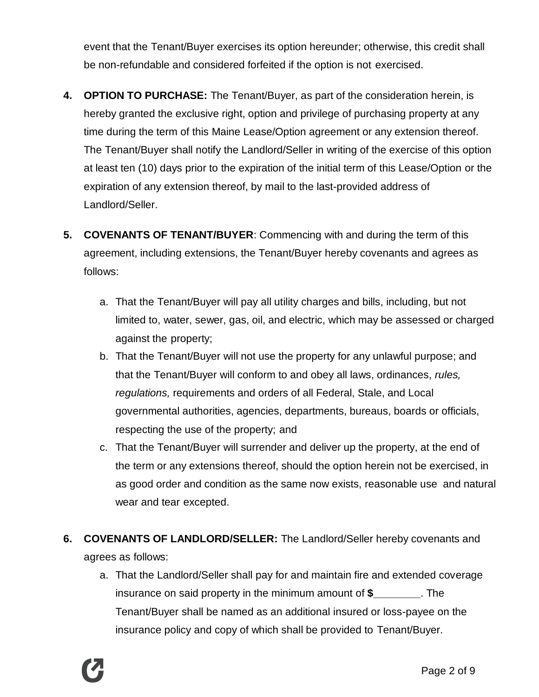event that the Tenant/Buyer exercises its option hereunder; otherwise, this credit shall be non-refundable and considered forfeited if the option is not exercised.

- **4. OPTION TO PURCHASE:** The Tenant/Buyer, as part of the consideration herein, is hereby granted the exclusive right, option and privilege of purchasing property at any time during the term of this Maine Lease/Option agreement or any extension thereof. The Tenant/Buyer shall notify the Landlord/Seller in writing of the exercise of this option at least ten (10) days prior to the expiration of the initial term of this Lease/Option or the expiration of any extension thereof, by mail to the last-provided address of Landlord/Seller.
- **5. COVENANTS OF TENANT/BUYER**: Commencing with and during the term of this agreement, including extensions, the Tenant/Buyer hereby covenants and agrees as follows:
	- a. That the Tenant/Buyer will pay all utility charges and bills, including, but not limited to, water, sewer, gas, oil, and electric, which may be assessed or charged against the property;
	- b. That the Tenant/Buyer will not use the property for any unlawful purpose; and that the Tenant/Buyer will conform to and obey all laws, ordinances, *rules, regulations,* requirements and orders of all Federal, Stale, and Local governmental authorities, agencies, departments, bureaus, boards or officials, respecting the use of the property; and
	- c. That the Tenant/Buyer will surrender and deliver up the property, at the end of the term or any extensions thereof, should the option herein not be exercised, in as good order and condition as the same now exists, reasonable use and natural wear and tear excepted.
- **6. COVENANTS OF LANDLORD/SELLER:** The Landlord/Seller hereby covenants and agrees as follows:
	- a. That the Landlord/Seller shall pay for and maintain fire and extended coverage insurance on said property in the minimum amount of **\$\_\_\_\_\_\_\_\_**. The Tenant/Buyer shall be named as an additional insured or loss-payee on the insurance policy and copy of which shall be provided to Tenant/Buyer.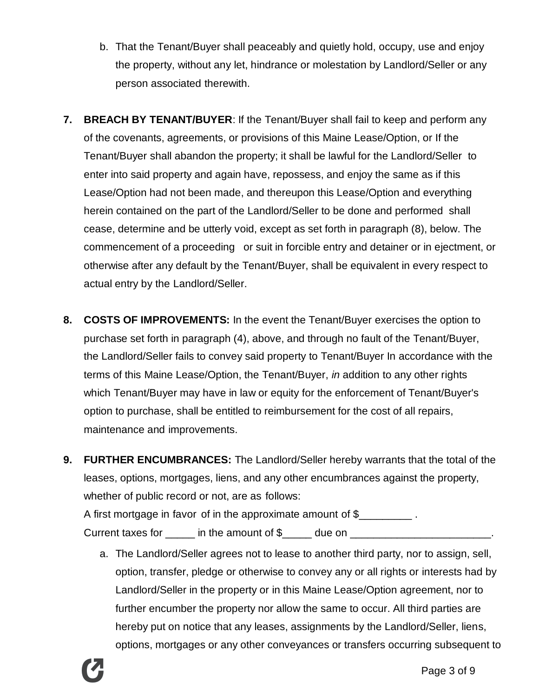- b. That the Tenant/Buyer shall peaceably and quietly hold, occupy, use and enjoy the property, without any let, hindrance or molestation by Landlord/Seller or any person associated therewith.
- **7. BREACH BY TENANT/BUYER**: If the Tenant/Buyer shall fail to keep and perform any of the covenants, agreements, or provisions of this Maine Lease/Option, or If the Tenant/Buyer shall abandon the property; it shall be lawful for the Landlord/Seller to enter into said property and again have, repossess, and enjoy the same as if this Lease/Option had not been made, and thereupon this Lease/Option and everything herein contained on the part of the Landlord/Seller to be done and performed shall cease, determine and be utterly void, except as set forth in paragraph (8), below. The commencement of a proceeding or suit in forcible entry and detainer or in ejectment, or otherwise after any default by the Tenant/Buyer, shall be equivalent in every respect to actual entry by the Landlord/Seller.
- **8. COSTS OF IMPROVEMENTS:** In the event the Tenant/Buyer exercises the option to purchase set forth in paragraph (4), above, and through no fault of the Tenant/Buyer, the Landlord/Seller fails to convey said property to Tenant/Buyer In accordance with the terms of this Maine Lease/Option, the Tenant/Buyer, *in* addition to any other rights which Tenant/Buyer may have in law or equity for the enforcement of Tenant/Buyer's option to purchase, shall be entitled to reimbursement for the cost of all repairs, maintenance and improvements.
- **9. FURTHER ENCUMBRANCES:** The Landlord/Seller hereby warrants that the total of the leases, options, mortgages, liens, and any other encumbrances against the property, whether of public record or not, are as follows: A first mortgage in favor of in the approximate amount of \$ Current taxes for \_\_\_\_\_\_ in the amount of \$\_\_\_\_\_ due on \_\_\_\_\_\_\_\_\_\_\_\_\_\_\_\_\_\_\_\_\_\_\_\_
	- a. The Landlord/Seller agrees not to lease to another third party, nor to assign, sell, option, transfer, pledge or otherwise to convey any or all rights or interests had by Landlord/Seller in the property or in this Maine Lease/Option agreement, nor to further encumber the property nor allow the same to occur. All third parties are hereby put on notice that any leases, assignments by the Landlord/Seller, liens, options, mortgages or any other conveyances or transfers occurring subsequent to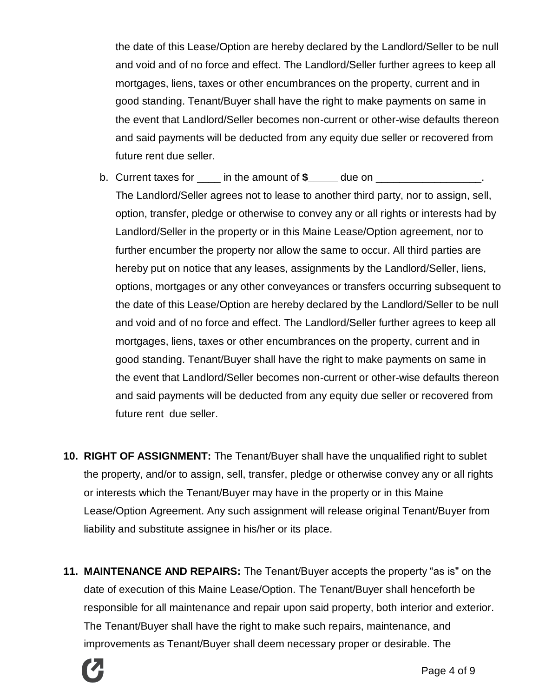the date of this Lease/Option are hereby declared by the Landlord/Seller to be null and void and of no force and effect. The Landlord/Seller further agrees to keep all mortgages, liens, taxes or other encumbrances on the property, current and in good standing. Tenant/Buyer shall have the right to make payments on same in the event that Landlord/Seller becomes non-current or other-wise defaults thereon and said payments will be deducted from any equity due seller or recovered from future rent due seller.

- b. Current taxes for \_\_\_\_ in the amount of **\$\_\_\_\_\_** due on \_\_\_\_\_\_\_\_\_\_\_\_\_\_\_\_\_\_. The Landlord/Seller agrees not to lease to another third party, nor to assign, sell, option, transfer, pledge or otherwise to convey any or all rights or interests had by Landlord/Seller in the property or in this Maine Lease/Option agreement, nor to further encumber the property nor allow the same to occur. All third parties are hereby put on notice that any leases, assignments by the Landlord/Seller, liens, options, mortgages or any other conveyances or transfers occurring subsequent to the date of this Lease/Option are hereby declared by the Landlord/Seller to be null and void and of no force and effect. The Landlord/Seller further agrees to keep all mortgages, liens, taxes or other encumbrances on the property, current and in good standing. Tenant/Buyer shall have the right to make payments on same in the event that Landlord/Seller becomes non-current or other-wise defaults thereon and said payments will be deducted from any equity due seller or recovered from future rent due seller.
- **10. RIGHT OF ASSIGNMENT:** The Tenant/Buyer shall have the unqualified right to sublet the property, and/or to assign, sell, transfer, pledge or otherwise convey any or all rights or interests which the Tenant/Buyer may have in the property or in this Maine Lease/Option Agreement. Any such assignment will release original Tenant/Buyer from liability and substitute assignee in his/her or its place.
- **11. MAINTENANCE AND REPAIRS:** The Tenant/Buyer accepts the property "as is" on the date of execution of this Maine Lease/Option. The Tenant/Buyer shall henceforth be responsible for all maintenance and repair upon said property, both interior and exterior. The Tenant/Buyer shall have the right to make such repairs, maintenance, and improvements as Tenant/Buyer shall deem necessary proper or desirable. The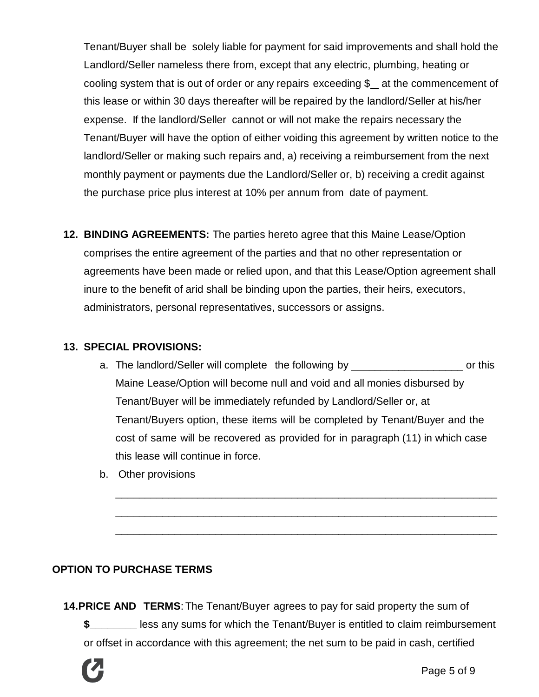Tenant/Buyer shall be solely liable for payment for said improvements and shall hold the Landlord/Seller nameless there from, except that any electric, plumbing, heating or cooling system that is out of order or any repairs exceeding \$ at the commencement of this lease or within 30 days thereafter will be repaired by the landlord/Seller at his/her expense. If the landlord/Seller cannot or will not make the repairs necessary the Tenant/Buyer will have the option of either voiding this agreement by written notice to the landlord/Seller or making such repairs and, a) receiving a reimbursement from the next monthly payment or payments due the Landlord/Seller or, b) receiving a credit against the purchase price plus interest at 10% per annum from date of payment.

**12. BINDING AGREEMENTS:** The parties hereto agree that this Maine Lease/Option comprises the entire agreement of the parties and that no other representation or agreements have been made or relied upon, and that this Lease/Option agreement shall inure to the benefit of arid shall be binding upon the parties, their heirs, executors, administrators, personal representatives, successors or assigns.

#### **13. SPECIAL PROVISIONS:**

a. The landlord/Seller will complete the following by \_\_\_\_\_\_\_\_\_\_\_\_\_\_\_\_\_\_\_\_\_\_\_\_\_\_ or this Maine Lease/Option will become null and void and all monies disbursed by Tenant/Buyer will be immediately refunded by Landlord/Seller or, at Tenant/Buyers option, these items will be completed by Tenant/Buyer and the cost of same will be recovered as provided for in paragraph (11) in which case this lease will continue in force.

\_\_\_\_\_\_\_\_\_\_\_\_\_\_\_\_\_\_\_\_\_\_\_\_\_\_\_\_\_\_\_\_\_\_\_\_\_\_\_\_\_\_\_\_\_\_\_\_\_\_\_\_\_\_\_\_\_\_\_\_\_\_\_\_\_

\_\_\_\_\_\_\_\_\_\_\_\_\_\_\_\_\_\_\_\_\_\_\_\_\_\_\_\_\_\_\_\_\_\_\_\_\_\_\_\_\_\_\_\_\_\_\_\_\_\_\_\_\_\_\_\_\_\_\_\_\_\_\_\_\_

\_\_\_\_\_\_\_\_\_\_\_\_\_\_\_\_\_\_\_\_\_\_\_\_\_\_\_\_\_\_\_\_\_\_\_\_\_\_\_\_\_\_\_\_\_\_\_\_\_\_\_\_\_\_\_\_\_\_\_\_\_\_\_\_\_

b. Other provisions

## **OPTION TO PURCHASE TERMS**

**14.PRICE AND TERMS**: The Tenant/Buyer agrees to pay for said property the sum of **\$\_\_\_\_\_\_\_\_** less any sums for which the Tenant/Buyer is entitled to claim reimbursement or offset in accordance with this agreement; the net sum to be paid in cash, certified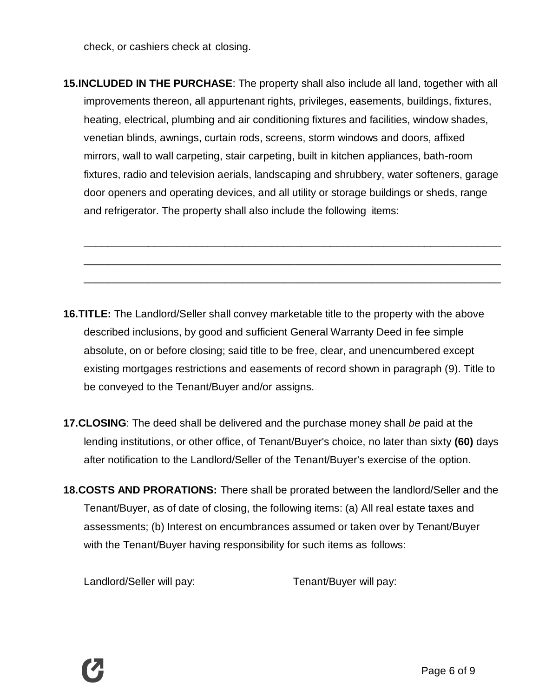check, or cashiers check at closing.

**15.INCLUDED IN THE PURCHASE**: The property shall also include all land, together with all improvements thereon, all appurtenant rights, privileges, easements, buildings, fixtures, heating, electrical, plumbing and air conditioning fixtures and facilities, window shades, venetian blinds, awnings, curtain rods, screens, storm windows and doors, affixed mirrors, wall to wall carpeting, stair carpeting, built in kitchen appliances, bath-room fixtures, radio and television aerials, landscaping and shrubbery, water softeners, garage door openers and operating devices, and all utility or storage buildings or sheds, range and refrigerator. The property shall also include the following items:

\_\_\_\_\_\_\_\_\_\_\_\_\_\_\_\_\_\_\_\_\_\_\_\_\_\_\_\_\_\_\_\_\_\_\_\_\_\_\_\_\_\_\_\_\_\_\_\_\_\_\_\_\_\_\_\_\_\_\_\_\_\_\_\_\_\_\_\_\_\_\_

\_\_\_\_\_\_\_\_\_\_\_\_\_\_\_\_\_\_\_\_\_\_\_\_\_\_\_\_\_\_\_\_\_\_\_\_\_\_\_\_\_\_\_\_\_\_\_\_\_\_\_\_\_\_\_\_\_\_\_\_\_\_\_\_\_\_\_\_\_\_\_

\_\_\_\_\_\_\_\_\_\_\_\_\_\_\_\_\_\_\_\_\_\_\_\_\_\_\_\_\_\_\_\_\_\_\_\_\_\_\_\_\_\_\_\_\_\_\_\_\_\_\_\_\_\_\_\_\_\_\_\_\_\_\_\_\_\_\_\_\_\_\_

- **16.TITLE:** The Landlord/Seller shall convey marketable title to the property with the above described inclusions, by good and sufficient General Warranty Deed in fee simple absolute, on or before closing; said title to be free, clear, and unencumbered except existing mortgages restrictions and easements of record shown in paragraph (9). Title to be conveyed to the Tenant/Buyer and/or assigns.
- **17.CLOSING**: The deed shall be delivered and the purchase money shall *be* paid at the lending institutions, or other office, of Tenant/Buyer's choice, no later than sixty **(60)** days after notification to the Landlord/Seller of the Tenant/Buyer's exercise of the option.
- **18.COSTS AND PRORATIONS:** There shall be prorated between the landlord/Seller and the Tenant/Buyer, as of date of closing, the following items: (a) All real estate taxes and assessments; (b) Interest on encumbrances assumed or taken over by Tenant/Buyer with the Tenant/Buyer having responsibility for such items as follows:

Landlord/Seller will pay: Tenant/Buyer will pay: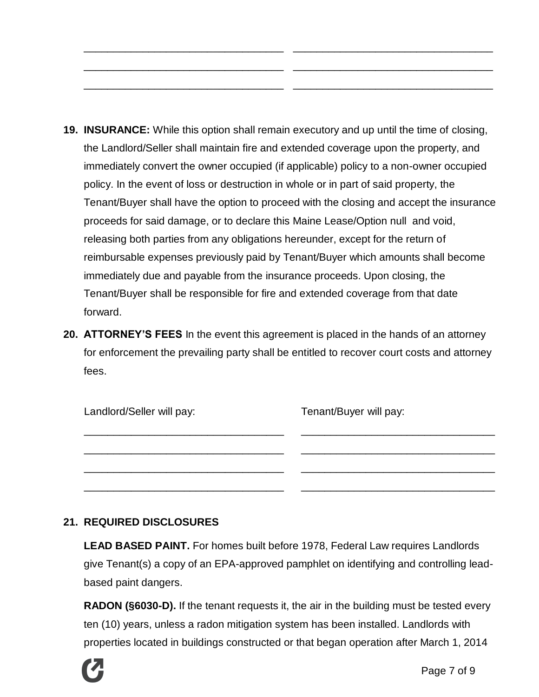**19. INSURANCE:** While this option shall remain executory and up until the time of closing, the Landlord/Seller shall maintain fire and extended coverage upon the property, and immediately convert the owner occupied (if applicable) policy to a non-owner occupied policy. In the event of loss or destruction in whole or in part of said property, the Tenant/Buyer shall have the option to proceed with the closing and accept the insurance proceeds for said damage, or to declare this Maine Lease/Option null and void, releasing both parties from any obligations hereunder, except for the return of reimbursable expenses previously paid by Tenant/Buyer which amounts shall become immediately due and payable from the insurance proceeds. Upon closing, the Tenant/Buyer shall be responsible for fire and extended coverage from that date forward.

\_\_\_\_\_\_\_\_\_\_\_\_\_\_\_\_\_\_\_\_\_\_\_\_\_\_\_\_\_\_\_\_\_\_

\_\_\_\_\_\_\_\_\_\_\_\_\_\_\_\_\_\_\_\_\_\_\_\_\_\_\_\_\_\_\_\_\_\_

\_\_\_\_\_\_\_\_\_\_\_\_\_\_\_\_\_\_\_\_\_\_\_\_\_\_\_\_\_\_\_\_\_\_

\_\_\_\_\_\_\_\_\_\_\_\_\_\_\_\_\_\_\_\_\_\_\_\_\_\_\_\_\_\_\_\_\_\_

\_\_\_\_\_\_\_\_\_\_\_\_\_\_\_\_\_\_\_\_\_\_\_\_\_\_\_\_\_\_\_\_\_\_

\_\_\_\_\_\_\_\_\_\_\_\_\_\_\_\_\_\_\_\_\_\_\_\_\_\_\_\_\_\_\_\_\_\_

**20. ATTORNEY'S FEES** In the event this agreement is placed in the hands of an attorney for enforcement the prevailing party shall be entitled to recover court costs and attorney fees.

| Landlord/Seller will pay: | Tenant/Buyer will pay: |
|---------------------------|------------------------|
|                           |                        |
|                           |                        |
|                           |                        |

#### **21. REQUIRED DISCLOSURES**

**LEAD BASED PAINT.** For homes built before 1978, Federal Law requires Landlords give Tenant(s) a copy of an EPA-approved pamphlet on identifying and controlling leadbased paint dangers.

**RADON (§6030-D).** If the tenant requests it, the air in the building must be tested every ten (10) years, unless a radon mitigation system has been installed. Landlords with properties located in buildings constructed or that began operation after March 1, 2014

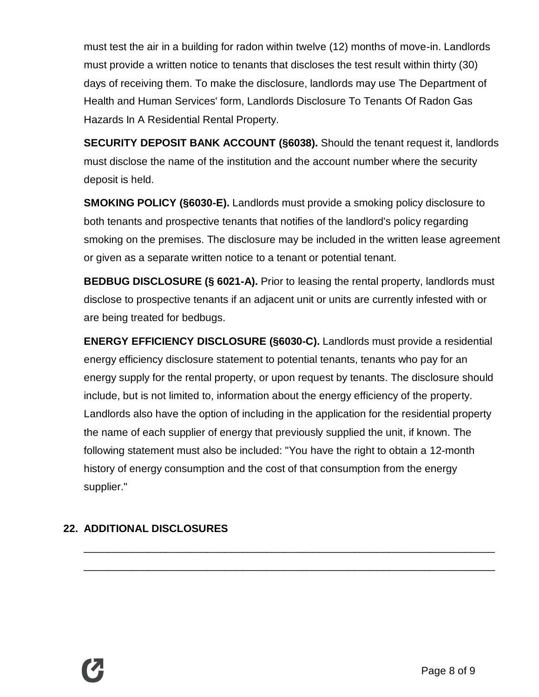must test the air in a building for radon within twelve (12) months of move-in. Landlords must provide a written notice to tenants that discloses the test result within thirty (30) days of receiving them. To make the disclosure, landlords may use The Department of Health and Human Services' form, Landlords Disclosure To Tenants Of Radon Gas Hazards In A Residential Rental Property.

**SECURITY DEPOSIT BANK ACCOUNT (§6038).** Should the tenant request it, landlords must disclose the name of the institution and the account number where the security deposit is held.

**SMOKING POLICY (§6030-E).** Landlords must provide a smoking policy disclosure to both tenants and prospective tenants that notifies of the landlord's policy regarding smoking on the premises. The disclosure may be included in the written lease agreement or given as a separate written notice to a tenant or potential tenant.

**BEDBUG DISCLOSURE (§ 6021-A).** Prior to leasing the rental property, landlords must disclose to prospective tenants if an adjacent unit or units are currently infested with or are being treated for bedbugs.

**ENERGY EFFICIENCY DISCLOSURE (§6030-C).** Landlords must provide a residential energy efficiency disclosure statement to potential tenants, tenants who pay for an energy supply for the rental property, or upon request by tenants. The disclosure should include, but is not limited to, information about the energy efficiency of the property. Landlords also have the option of including in the application for the residential property the name of each supplier of energy that previously supplied the unit, if known. The following statement must also be included: "You have the right to obtain a 12-month history of energy consumption and the cost of that consumption from the energy supplier."

\_\_\_\_\_\_\_\_\_\_\_\_\_\_\_\_\_\_\_\_\_\_\_\_\_\_\_\_\_\_\_\_\_\_\_\_\_\_\_\_\_\_\_\_\_\_\_\_\_\_\_\_\_\_\_\_\_\_\_\_\_\_\_\_\_\_\_\_\_\_

\_\_\_\_\_\_\_\_\_\_\_\_\_\_\_\_\_\_\_\_\_\_\_\_\_\_\_\_\_\_\_\_\_\_\_\_\_\_\_\_\_\_\_\_\_\_\_\_\_\_\_\_\_\_\_\_\_\_\_\_\_\_\_\_\_\_\_\_\_\_

## **22. ADDITIONAL DISCLOSURES**